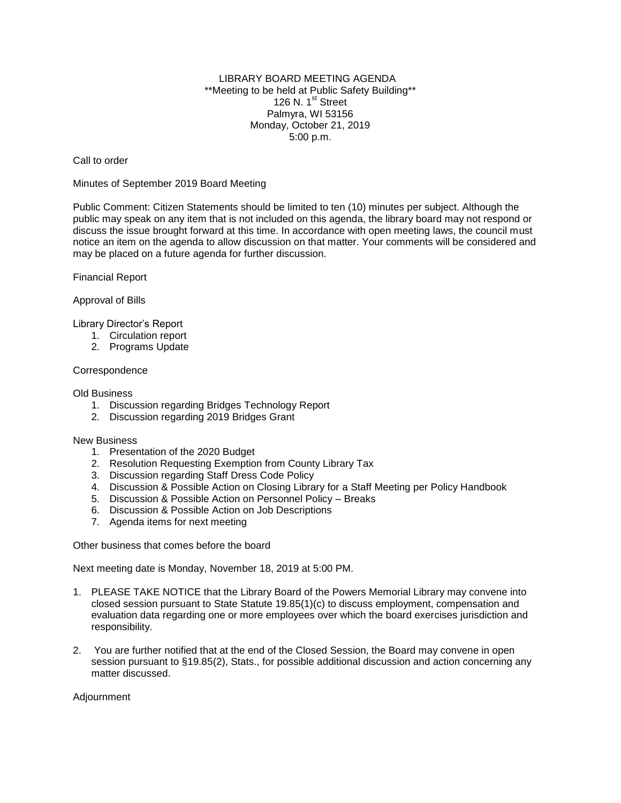## LIBRARY BOARD MEETING AGENDA \*\*Meeting to be held at Public Safety Building\*\* 126 N. 1<sup>st</sup> Street Palmyra, WI 53156 Monday, October 21, 2019 5:00 p.m.

Call to order

Minutes of September 2019 Board Meeting

Public Comment: Citizen Statements should be limited to ten (10) minutes per subject. Although the public may speak on any item that is not included on this agenda, the library board may not respond or discuss the issue brought forward at this time. In accordance with open meeting laws, the council must notice an item on the agenda to allow discussion on that matter. Your comments will be considered and may be placed on a future agenda for further discussion.

Financial Report

Approval of Bills

Library Director's Report

- 1. Circulation report
- 2. Programs Update

## Correspondence

Old Business

- 1. Discussion regarding Bridges Technology Report
- 2. Discussion regarding 2019 Bridges Grant

## New Business

- 1. Presentation of the 2020 Budget
- 2. Resolution Requesting Exemption from County Library Tax
- 3. Discussion regarding Staff Dress Code Policy
- 4. Discussion & Possible Action on Closing Library for a Staff Meeting per Policy Handbook
- 5. Discussion & Possible Action on Personnel Policy Breaks
- 6. Discussion & Possible Action on Job Descriptions
- 7. Agenda items for next meeting

Other business that comes before the board

Next meeting date is Monday, November 18, 2019 at 5:00 PM.

- 1. PLEASE TAKE NOTICE that the Library Board of the Powers Memorial Library may convene into closed session pursuant to State Statute 19.85(1)(c) to discuss employment, compensation and evaluation data regarding one or more employees over which the board exercises jurisdiction and responsibility.
- 2. You are further notified that at the end of the Closed Session, the Board may convene in open session pursuant to §19.85(2), Stats., for possible additional discussion and action concerning any matter discussed.

Adjournment